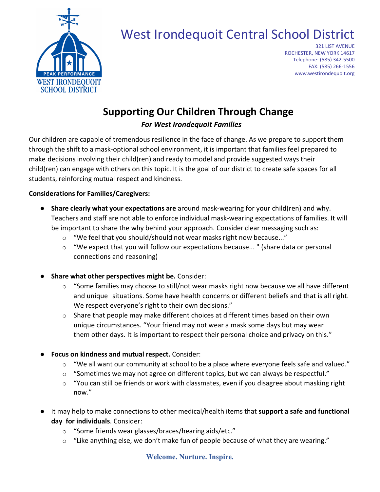

## West Irondequoit Central School District

321 LIST AVENUE ROCHESTER, NEW YORK 14617 Telephone: (585) 342-5500 FAX: (585) 266-1556 www.westirondequoit.org

## **Supporting Our Children Through Change**

*For West Irondequoit Families*

Our children are capable of tremendous resilience in the face of change. As we prepare to support them through the shift to a mask-optional school environment, it is important that families feel prepared to make decisions involving their child(ren) and ready to model and provide suggested ways their child(ren) can engage with others on this topic. It is the goal of our district to create safe spaces for all students, reinforcing mutual respect and kindness.

## **Considerations for Families/Caregivers:**

- **Share clearly what your expectations are** around mask-wearing for your child(ren) and why. Teachers and staff are not able to enforce individual mask-wearing expectations of families. It will be important to share the why behind your approach. Consider clear messaging such as:
	- o "We feel that you should/should not wear masks right now because..."
	- $\circ$  "We expect that you will follow our expectations because..." (share data or personal connections and reasoning)
- **Share what other perspectives might be.** Consider:
	- $\circ$  "Some families may choose to still/not wear masks right now because we all have different and unique situations. Some have health concerns or different beliefs and that is all right. We respect everyone's right to their own decisions."
	- $\circ$  Share that people may make different choices at different times based on their own unique circumstances. "Your friend may not wear a mask some days but may wear them other days. It is important to respect their personal choice and privacy on this."
- **Focus on kindness and mutual respect.** Consider:
	- $\circ$  "We all want our community at school to be a place where everyone feels safe and valued."
	- $\circ$  "Sometimes we may not agree on different topics, but we can always be respectful."
	- $\circ$  "You can still be friends or work with classmates, even if you disagree about masking right now."
- It may help to make connections to other medical/health items that **support a safe and functional day for individuals**. Consider:
	- o "Some friends wear glasses/braces/hearing aids/etc."
	- $\circ$  "Like anything else, we don't make fun of people because of what they are wearing."

## **Welcome. Nurture. Inspire.**